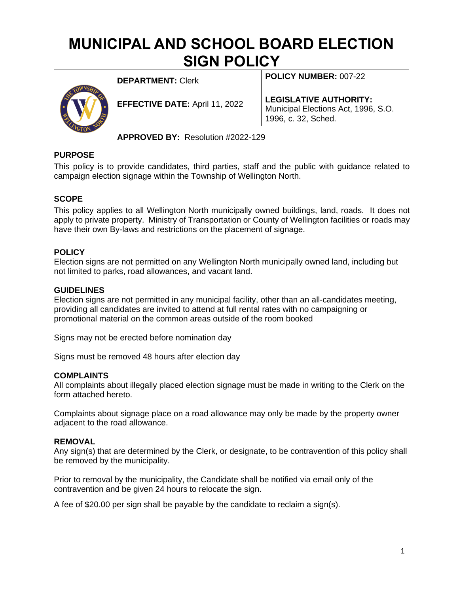# **MUNICIPAL AND SCHOOL BOARD ELECTION SIGN POLICY**

|  | <b>DEPARTMENT: Clerk</b>              | POLICY NUMBER: 007-22                                                                       |
|--|---------------------------------------|---------------------------------------------------------------------------------------------|
|  | <b>EFFECTIVE DATE: April 11, 2022</b> | <b>LEGISLATIVE AUTHORITY:</b><br>Municipal Elections Act, 1996, S.O.<br>1996, c. 32, Sched. |
|  | APPROVED BY: Resolution #2022-129     |                                                                                             |

# **PURPOSE**

This policy is to provide candidates, third parties, staff and the public with guidance related to campaign election signage within the Township of Wellington North.

# **SCOPE**

This policy applies to all Wellington North municipally owned buildings, land, roads. It does not apply to private property. Ministry of Transportation or County of Wellington facilities or roads may have their own By-laws and restrictions on the placement of signage.

### **POLICY**

Election signs are not permitted on any Wellington North municipally owned land, including but not limited to parks, road allowances, and vacant land.

#### **GUIDELINES**

Election signs are not permitted in any municipal facility, other than an all-candidates meeting, providing all candidates are invited to attend at full rental rates with no campaigning or promotional material on the common areas outside of the room booked

Signs may not be erected before nomination day

Signs must be removed 48 hours after election day

#### **COMPLAINTS**

All complaints about illegally placed election signage must be made in writing to the Clerk on the form attached hereto.

Complaints about signage place on a road allowance may only be made by the property owner adjacent to the road allowance.

#### **REMOVAL**

Any sign(s) that are determined by the Clerk, or designate, to be contravention of this policy shall be removed by the municipality.

Prior to removal by the municipality, the Candidate shall be notified via email only of the contravention and be given 24 hours to relocate the sign.

A fee of \$20.00 per sign shall be payable by the candidate to reclaim a sign(s).